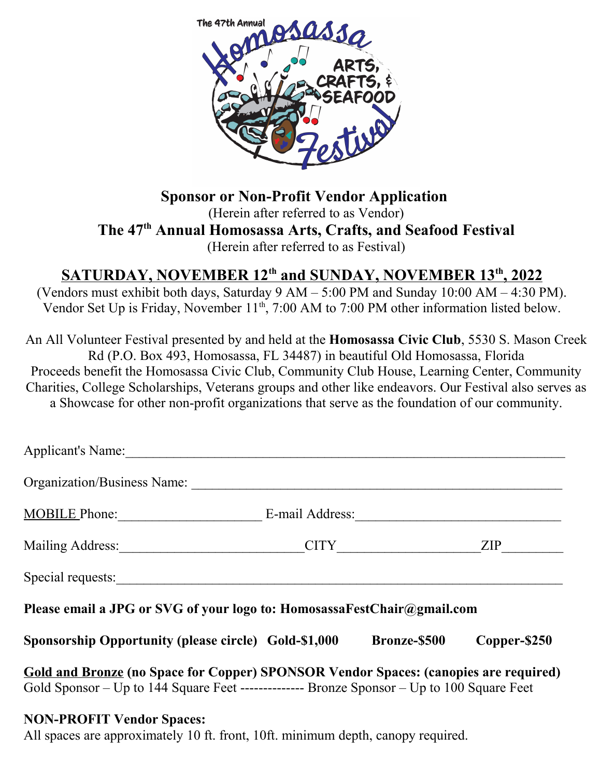

**Sponsor or Non-Profit Vendor Application**  (Herein after referred to as Vendor) **The 47th Annual Homosassa Arts, Crafts, and Seafood Festival** (Herein after referred to as Festival)

### **SATURDAY, NOVEMBER 12th and SUNDAY, NOVEMBER 13th , 2022**

(Vendors must exhibit both days, Saturday 9 AM – 5:00 PM and Sunday 10:00 AM – 4:30 PM). Vendor Set Up is Friday, November 11<sup>th</sup>, 7:00 AM to 7:00 PM other information listed below.

An All Volunteer Festival presented by and held at the **Homosassa Civic Club**, 5530 S. Mason Creek Rd (P.O. Box 493, Homosassa, FL 34487) in beautiful Old Homosassa, Florida Proceeds benefit the Homosassa Civic Club, Community Club House, Learning Center, Community Charities, College Scholarships, Veterans groups and other like endeavors. Our Festival also serves as a Showcase for other non-profit organizations that serve as the foundation of our community.

| Applicant's Name:                                                                                                                                                                          |                     |              |
|--------------------------------------------------------------------------------------------------------------------------------------------------------------------------------------------|---------------------|--------------|
| Organization/Business Name:                                                                                                                                                                |                     |              |
| MOBILE Phone:                                                                                                                                                                              |                     |              |
|                                                                                                                                                                                            |                     | ZIP          |
| Special requests:                                                                                                                                                                          |                     |              |
| Please email a JPG or SVG of your logo to: HomosassaFestChair@gmail.com                                                                                                                    |                     |              |
| <b>Sponsorship Opportunity (please circle) Gold-\$1,000</b>                                                                                                                                | <b>Bronze-\$500</b> | Copper-\$250 |
| <b>Gold and Bronze (no Space for Copper) SPONSOR Vendor Spaces: (canopies are required)</b><br>Gold Sponsor – Up to 144 Square Feet --------------- Bronze Sponsor – Up to 100 Square Feet |                     |              |
| <b>NON-PROFIT Vendor Spaces:</b>                                                                                                                                                           |                     |              |

All spaces are approximately 10 ft. front, 10ft. minimum depth, canopy required.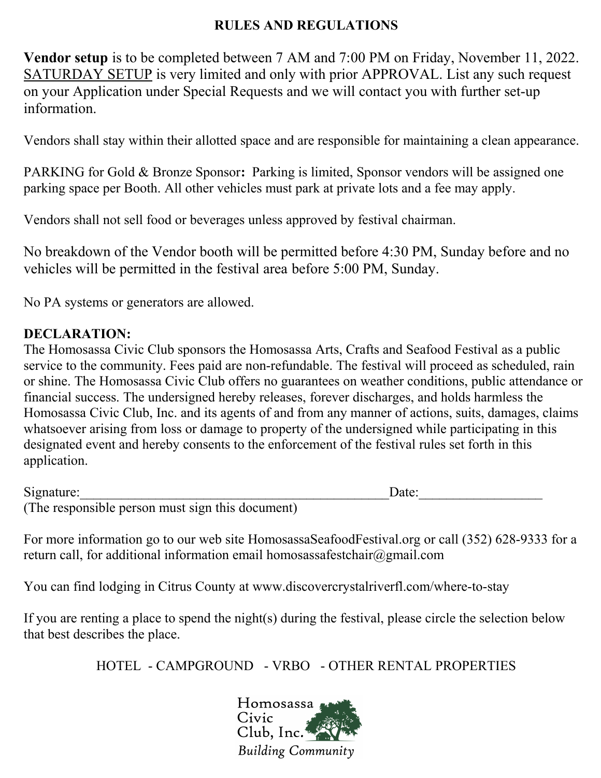#### **RULES AND REGULATIONS**

**Vendor setup** is to be completed between 7 AM and 7:00 PM on Friday, November 11, 2022. SATURDAY SETUP is very limited and only with prior APPROVAL. List any such request on your Application under Special Requests and we will contact you with further set-up information.

Vendors shall stay within their allotted space and are responsible for maintaining a clean appearance.

PARKING for Gold & Bronze Sponsor**:** Parking is limited, Sponsor vendors will be assigned one parking space per Booth. All other vehicles must park at private lots and a fee may apply.

Vendors shall not sell food or beverages unless approved by festival chairman.

No breakdown of the Vendor booth will be permitted before 4:30 PM, Sunday before and no vehicles will be permitted in the festival area before 5:00 PM, Sunday.

No PA systems or generators are allowed.

### **DECLARATION:**

The Homosassa Civic Club sponsors the Homosassa Arts, Crafts and Seafood Festival as a public service to the community. Fees paid are non-refundable. The festival will proceed as scheduled, rain or shine. The Homosassa Civic Club offers no guarantees on weather conditions, public attendance or financial success. The undersigned hereby releases, forever discharges, and holds harmless the Homosassa Civic Club, Inc. and its agents of and from any manner of actions, suits, damages, claims whatsoever arising from loss or damage to property of the undersigned while participating in this designated event and hereby consents to the enforcement of the festival rules set forth in this application.

| Signature:                                       | Date: |
|--------------------------------------------------|-------|
| (The responsible person must sign this document) |       |

For more information go to our web site HomosassaSeafoodFestival.org or call (352) 628-9333 for a return call, for additional information email homosassafestchair@gmail.com

You can find lodging in Citrus County at www.discovercrystalriverfl.com/where-to-stay

If you are renting a place to spend the night(s) during the festival, please circle the selection below that best describes the place.

HOTEL - CAMPGROUND - VRBO - OTHER RENTAL PROPERTIES